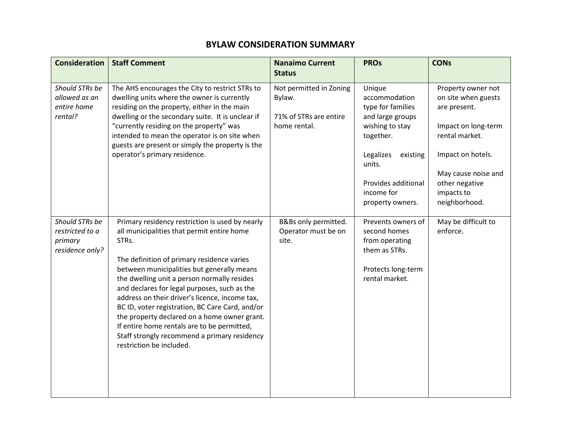## **ATTACHMENT E**

## **BYLAW CONSIDERATION SUMMARY**

| <b>Consideration</b>                                            | <b>Staff Comment</b>                                                                                                                                                                                                                                                                                                                                                                                                                                                                                                                                                              | <b>Nanaimo Current</b><br><b>Status</b>                                     | <b>PROs</b>                                                                                                                                                                                  | <b>CONs</b>                                                                                                                                                                                     |
|-----------------------------------------------------------------|-----------------------------------------------------------------------------------------------------------------------------------------------------------------------------------------------------------------------------------------------------------------------------------------------------------------------------------------------------------------------------------------------------------------------------------------------------------------------------------------------------------------------------------------------------------------------------------|-----------------------------------------------------------------------------|----------------------------------------------------------------------------------------------------------------------------------------------------------------------------------------------|-------------------------------------------------------------------------------------------------------------------------------------------------------------------------------------------------|
| Should STRs be<br>allowed as an<br>entire home<br>rental?       | The AHS encourages the City to restrict STRs to<br>dwelling units where the owner is currently<br>residing on the property, either in the main<br>dwelling or the secondary suite. It is unclear if<br>"currently residing on the property" was<br>intended to mean the operator is on site when<br>guests are present or simply the property is the<br>operator's primary residence.                                                                                                                                                                                             | Not permitted in Zoning<br>Bylaw.<br>71% of STRs are entire<br>home rental. | Unique<br>accommodation<br>type for families<br>and large groups<br>wishing to stay<br>together.<br>Legalizes<br>existing<br>units.<br>Provides additional<br>income for<br>property owners. | Property owner not<br>on site when guests<br>are present.<br>Impact on long-term<br>rental market.<br>Impact on hotels.<br>May cause noise and<br>other negative<br>impacts to<br>neighborhood. |
| Should STRs be<br>restricted to a<br>primary<br>residence only? | Primary residency restriction is used by nearly<br>all municipalities that permit entire home<br>STRs.<br>The definition of primary residence varies<br>between municipalities but generally means<br>the dwelling unit a person normally resides<br>and declares for legal purposes, such as the<br>address on their driver's licence, income tax,<br>BC ID, voter registration, BC Care Card, and/or<br>the property declared on a home owner grant.<br>If entire home rentals are to be permitted,<br>Staff strongly recommend a primary residency<br>restriction be included. | B&Bs only permitted.<br>Operator must be on<br>site.                        | Prevents owners of<br>second homes<br>from operating<br>them as STRs.<br>Protects long-term<br>rental market.                                                                                | May be difficult to<br>enforce.                                                                                                                                                                 |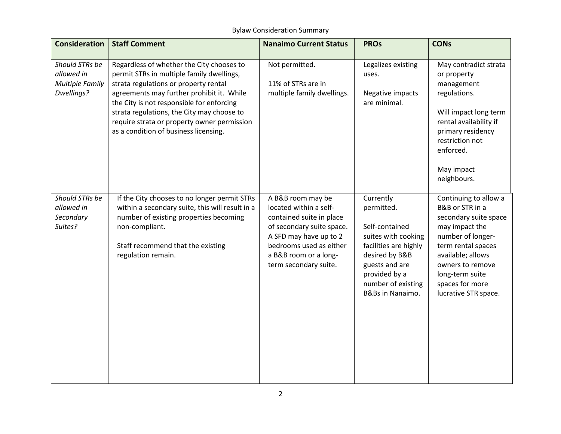| <b>Consideration</b>                                                 | <b>Staff Comment</b>                                                                                                                                                                                                                                                                                                                                            | <b>Nanaimo Current Status</b>                                                                                                                                                                               | <b>PROs</b>                                                                                                                                                                              | <b>CONs</b>                                                                                                                                                                                                                           |
|----------------------------------------------------------------------|-----------------------------------------------------------------------------------------------------------------------------------------------------------------------------------------------------------------------------------------------------------------------------------------------------------------------------------------------------------------|-------------------------------------------------------------------------------------------------------------------------------------------------------------------------------------------------------------|------------------------------------------------------------------------------------------------------------------------------------------------------------------------------------------|---------------------------------------------------------------------------------------------------------------------------------------------------------------------------------------------------------------------------------------|
| Should STRs be<br>allowed in<br><b>Multiple Family</b><br>Dwellings? | Regardless of whether the City chooses to<br>permit STRs in multiple family dwellings,<br>strata regulations or property rental<br>agreements may further prohibit it. While<br>the City is not responsible for enforcing<br>strata regulations, the City may choose to<br>require strata or property owner permission<br>as a condition of business licensing. | Not permitted.<br>11% of STRs are in<br>multiple family dwellings.                                                                                                                                          | Legalizes existing<br>uses.<br>Negative impacts<br>are minimal.                                                                                                                          | May contradict strata<br>or property<br>management<br>regulations.<br>Will impact long term<br>rental availability if<br>primary residency<br>restriction not<br>enforced.<br>May impact<br>neighbours.                               |
| Should STRs be<br>allowed in<br>Secondary<br>Suites?                 | If the City chooses to no longer permit STRs<br>within a secondary suite, this will result in a<br>number of existing properties becoming<br>non-compliant.<br>Staff recommend that the existing<br>regulation remain.                                                                                                                                          | A B&B room may be<br>located within a self-<br>contained suite in place<br>of secondary suite space.<br>A SFD may have up to 2<br>bedrooms used as either<br>a B&B room or a long-<br>term secondary suite. | Currently<br>permitted.<br>Self-contained<br>suites with cooking<br>facilities are highly<br>desired by B&B<br>guests and are<br>provided by a<br>number of existing<br>B&Bs in Nanaimo. | Continuing to allow a<br>B&B or STR in a<br>secondary suite space<br>may impact the<br>number of longer-<br>term rental spaces<br>available; allows<br>owners to remove<br>long-term suite<br>spaces for more<br>lucrative STR space. |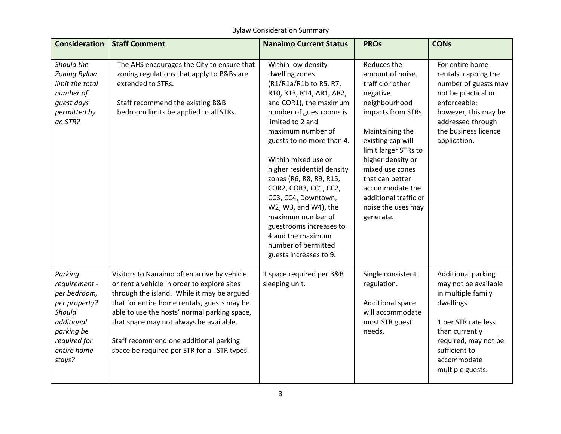| <b>Consideration</b>                                                                                                                     | <b>Staff Comment</b>                                                                                                                                                                                                                                                                                                                                                         | <b>Nanaimo Current Status</b>                                                                                                                                                                                                                                                                                                                                                                                                                                                                       | <b>PROs</b>                                                                                                                                                                                                                                                                                                      | <b>CONs</b>                                                                                                                                                                                         |
|------------------------------------------------------------------------------------------------------------------------------------------|------------------------------------------------------------------------------------------------------------------------------------------------------------------------------------------------------------------------------------------------------------------------------------------------------------------------------------------------------------------------------|-----------------------------------------------------------------------------------------------------------------------------------------------------------------------------------------------------------------------------------------------------------------------------------------------------------------------------------------------------------------------------------------------------------------------------------------------------------------------------------------------------|------------------------------------------------------------------------------------------------------------------------------------------------------------------------------------------------------------------------------------------------------------------------------------------------------------------|-----------------------------------------------------------------------------------------------------------------------------------------------------------------------------------------------------|
| Should the<br>Zoning Bylaw<br>limit the total<br>number of<br>guest days<br>permitted by<br>an STR?                                      | The AHS encourages the City to ensure that<br>zoning regulations that apply to B&Bs are<br>extended to STRs.<br>Staff recommend the existing B&B<br>bedroom limits be applied to all STRs.                                                                                                                                                                                   | Within low density<br>dwelling zones<br>(R1/R1a/R1b to R5, R7,<br>R10, R13, R14, AR1, AR2,<br>and COR1), the maximum<br>number of guestrooms is<br>limited to 2 and<br>maximum number of<br>guests to no more than 4.<br>Within mixed use or<br>higher residential density<br>zones (R6, R8, R9, R15,<br>COR2, COR3, CC1, CC2,<br>CC3, CC4, Downtown,<br>W2, W3, and W4), the<br>maximum number of<br>guestrooms increases to<br>4 and the maximum<br>number of permitted<br>guests increases to 9. | Reduces the<br>amount of noise,<br>traffic or other<br>negative<br>neighbourhood<br>impacts from STRs.<br>Maintaining the<br>existing cap will<br>limit larger STRs to<br>higher density or<br>mixed use zones<br>that can better<br>accommodate the<br>additional traffic or<br>noise the uses may<br>generate. | For entire home<br>rentals, capping the<br>number of guests may<br>not be practical or<br>enforceable;<br>however, this may be<br>addressed through<br>the business licence<br>application.         |
| Parking<br>requirement -<br>per bedroom,<br>per property?<br>Should<br>additional<br>parking be<br>required for<br>entire home<br>stays? | Visitors to Nanaimo often arrive by vehicle<br>or rent a vehicle in order to explore sites<br>through the island. While it may be argued<br>that for entire home rentals, guests may be<br>able to use the hosts' normal parking space,<br>that space may not always be available.<br>Staff recommend one additional parking<br>space be required per STR for all STR types. | 1 space required per B&B<br>sleeping unit.                                                                                                                                                                                                                                                                                                                                                                                                                                                          | Single consistent<br>regulation.<br><b>Additional space</b><br>will accommodate<br>most STR guest<br>needs.                                                                                                                                                                                                      | Additional parking<br>may not be available<br>in multiple family<br>dwellings.<br>1 per STR rate less<br>than currently<br>required, may not be<br>sufficient to<br>accommodate<br>multiple guests. |